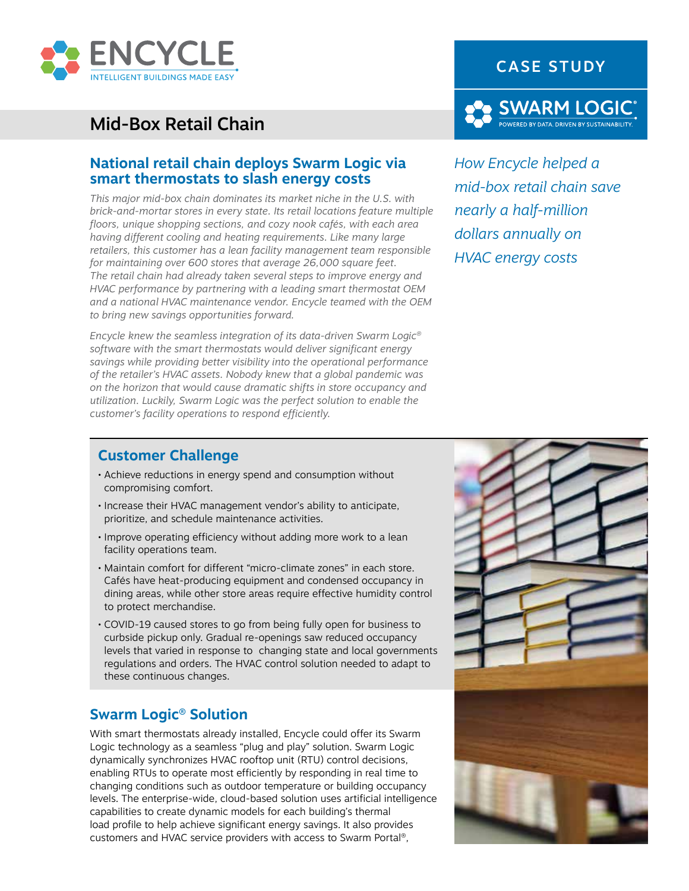

# Mid-Box Retail Chain

#### **National retail chain deploys Swarm Logic via smart thermostats to slash energy costs**

*This major mid-box chain dominates its market niche in the U.S. with brick-and-mortar stores in every state. Its retail locations feature multiple floors, unique shopping sections, and cozy nook cafés, with each area having different cooling and heating requirements. Like many large retailers, this customer has a lean facility management team responsible for maintaining over 600 stores that average 26,000 square feet. The retail chain had already taken several steps to improve energy and HVAC performance by partnering with a leading smart thermostat OEM and a national HVAC maintenance vendor. Encycle teamed with the OEM to bring new savings opportunities forward.* 

*Encycle knew the seamless integration of its data-driven Swarm Logic® software with the smart thermostats would deliver significant energy savings while providing better visibility into the operational performance of the retailer's HVAC assets. Nobody knew that a global pandemic was on the horizon that would cause dramatic shifts in store occupancy and utilization. Luckily, Swarm Logic was the perfect solution to enable the customer's facility operations to respond efficiently.*



*How Encycle helped a mid-box retail chain save nearly a half-million dollars annually on HVAC energy costs*

#### **Customer Challenge**

- Achieve reductions in energy spend and consumption without compromising comfort.
- Increase their HVAC management vendor's ability to anticipate, prioritize, and schedule maintenance activities.
- Improve operating efficiency without adding more work to a lean facility operations team.
- Maintain comfort for different "micro-climate zones" in each store. Cafés have heat-producing equipment and condensed occupancy in dining areas, while other store areas require effective humidity control to protect merchandise.
- COVID-19 caused stores to go from being fully open for business to curbside pickup only. Gradual re-openings saw reduced occupancy levels that varied in response to changing state and local governments regulations and orders. The HVAC control solution needed to adapt to these continuous changes.

### **Swarm Logic® Solution**

With smart thermostats already installed, Encycle could offer its Swarm Logic technology as a seamless "plug and play" solution. Swarm Logic dynamically synchronizes HVAC rooftop unit (RTU) control decisions, enabling RTUs to operate most efficiently by responding in real time to changing conditions such as outdoor temperature or building occupancy levels. The enterprise-wide, cloud-based solution uses artificial intelligence capabilities to create dynamic models for each building's thermal load profile to help achieve significant energy savings. It also provides customers and HVAC service providers with access to Swarm Portal®,